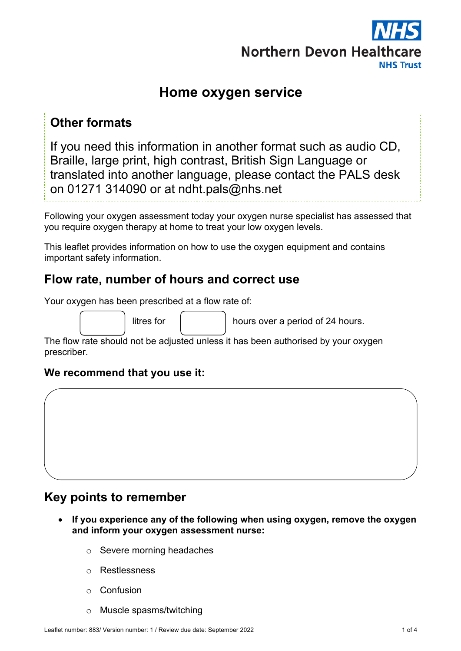

# **Home oxygen service**

## **Other formats**

If you need this information in another format such as audio CD, Braille, large print, high contrast, British Sign Language or translated into another language, please contact the PALS desk on 01271 314090 or at ndht.pals@nhs.net

Following your oxygen assessment today your oxygen nurse specialist has assessed that you require oxygen therapy at home to treat your low oxygen levels.

This leaflet provides information on how to use the oxygen equipment and contains important safety information.

## **Flow rate, number of hours and correct use**

|  |  | Your oxygen has been prescribed at a flow rate of: |  |  |
|--|--|----------------------------------------------------|--|--|
|  |  |                                                    |  |  |

litres for  $\parallel$  hours over a period of 24 hours.

The flow rate should not be adjusted unless it has been authorised by your oxygen prescriber.

#### **We recommend that you use it:**

# **Key points to remember**

- **If you experience any of the following when using oxygen, remove the oxygen and inform your oxygen assessment nurse:**
	- o Severe morning headaches
	- o Restlessness
	- o Confusion
	- o Muscle spasms/twitching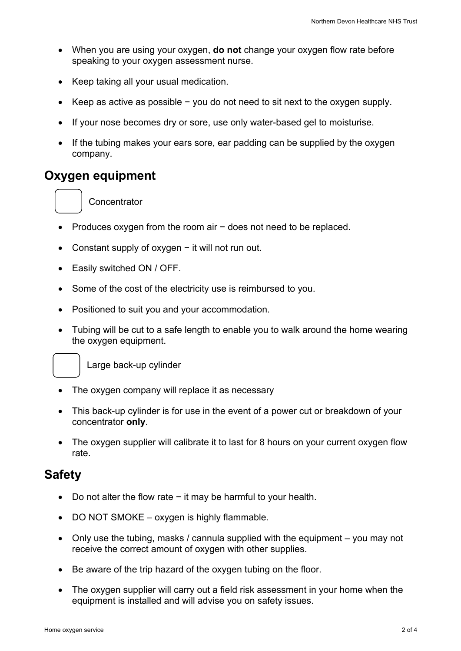- When you are using your oxygen, **do not** change your oxygen flow rate before speaking to your oxygen assessment nurse.
- Keep taking all your usual medication.
- Keep as active as possible − you do not need to sit next to the oxygen supply.
- If your nose becomes dry or sore, use only water-based gel to moisturise.
- If the tubing makes your ears sore, ear padding can be supplied by the oxygen company.

## **Oxygen equipment**

**Concentrator** 

- Produces oxygen from the room air − does not need to be replaced.
- Constant supply of oxygen − it will not run out.
- Easily switched ON / OFF.
- Some of the cost of the electricity use is reimbursed to you.
- Positioned to suit you and your accommodation.
- Tubing will be cut to a safe length to enable you to walk around the home wearing the oxygen equipment.



Large back-up cylinder

- The oxygen company will replace it as necessary
- This back-up cylinder is for use in the event of a power cut or breakdown of your concentrator **only**.
- The oxygen supplier will calibrate it to last for 8 hours on your current oxygen flow rate.

#### **Safety**

- Do not alter the flow rate − it may be harmful to your health.
- DO NOT SMOKE oxygen is highly flammable.
- Only use the tubing, masks / cannula supplied with the equipment you may not receive the correct amount of oxygen with other supplies.
- Be aware of the trip hazard of the oxygen tubing on the floor.
- The oxygen supplier will carry out a field risk assessment in your home when the equipment is installed and will advise you on safety issues.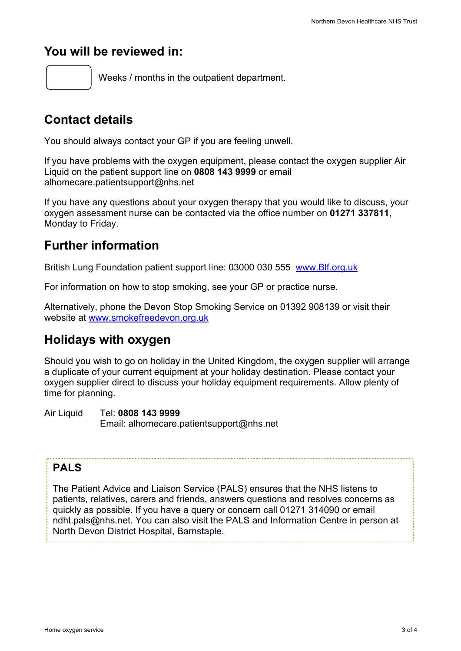## **You will be reviewed in:**

Weeks / months in the outpatient department.

# **Contact details**

You should always contact your GP if you are feeling unwell.

If you have problems with the oxygen equipment, please contact the oxygen supplier Air Liquid on the patient support line on **0808 143 9999** or email alhomecare.patientsupport@nhs.net

If you have any questions about your oxygen therapy that you would like to discuss, your oxygen assessment nurse can be contacted via the office number on **01271 337811**, Monday to Friday.

# **Further information**

British Lung Foundation patient support line: 03000 030 555 www.Blf.org.uk

For information on how to stop smoking, see your GP or practice nurse.

Alternatively, phone the Devon Stop Smoking Service on 01392 908139 or visit their website at www.smokefreedevon.org.uk

# **Holidays with oxygen**

Should you wish to go on holiday in the United Kingdom, the oxygen supplier will arrange a duplicate of your current equipment at your holiday destination. Please contact your oxygen supplier direct to discuss your holiday equipment requirements. Allow plenty of time for planning.

Air Liquid Tel: **0808 143 9999** Email: alhomecare.patientsupport@nhs.net

### **PALS**

The Patient Advice and Liaison Service (PALS) ensures that the NHS listens to patients, relatives, carers and friends, answers questions and resolves concerns as quickly as possible. If you have a query or concern call 01271 314090 or email ndht.pals@nhs.net. You can also visit the PALS and Information Centre in person at North Devon District Hospital, Barnstaple.